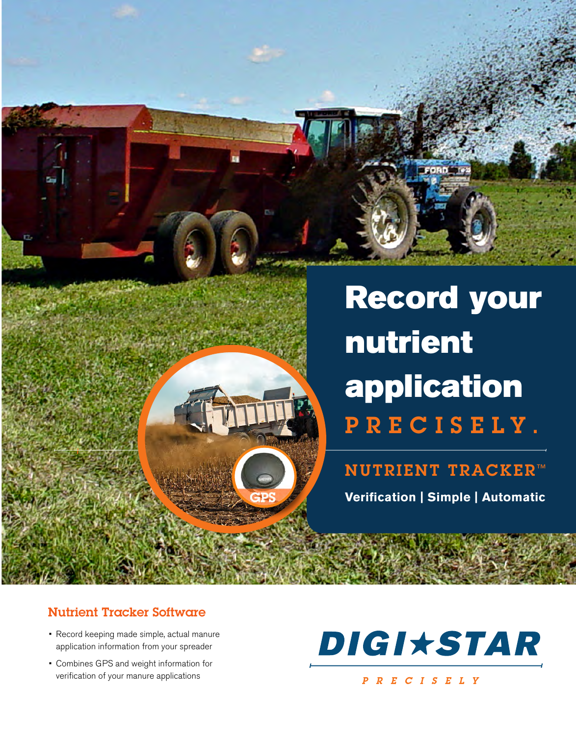

**FORD** Te

NUTRIENT TRACKER<sup>™</sup> **Verification | Simple | Automatic**

#### Nutrient Tracker Software

- Record keeping made simple, actual manure application information from your spreader
- • Combines GPS and weight information for verification of your manure applications